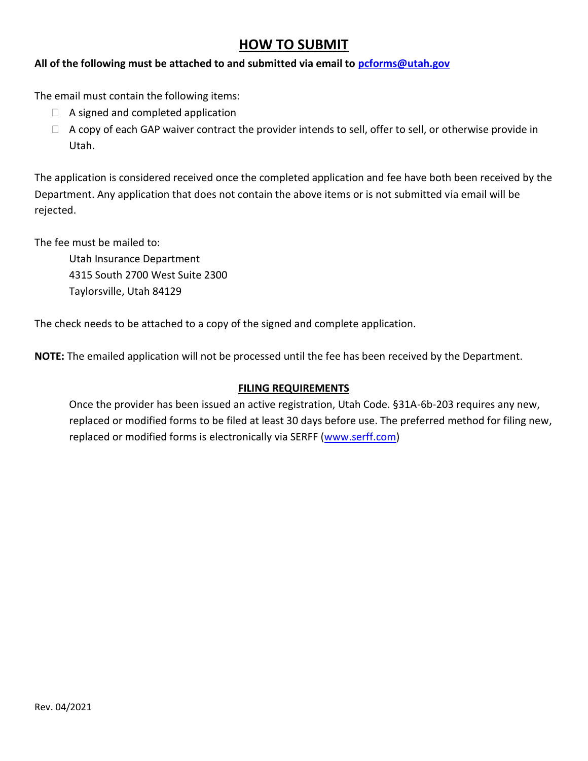## **HOW TO SUBMIT**

### **All of the following must be attached to and submitted via email to [pcforms@utah.gov](mailto:pcforms@utah.gov)**

The email must contain the following items:

- $\Box$  A signed and completed application
- $\Box$  A copy of each GAP waiver contract the provider intends to sell, offer to sell, or otherwise provide in Utah.

The application is considered received once the completed application and fee have both been received by the Department. Any application that does not contain the above items or is not submitted via email will be rejected.

The fee must be mailed to:

Utah Insurance Department 4315 South 2700 West Suite 2300 Taylorsville, Utah 84129

The check needs to be attached to a copy of the signed and complete application.

**NOTE:** The emailed application will not be processed until the fee has been received by the Department.

### **FILING REQUIREMENTS**

Once the provider has been issued an active registration, Utah Code. §31A-6b-203 requires any new, replaced or modified forms to be filed at least 30 days before use. The preferred method for filing new, replaced or modified forms is electronically via SERFF [\(www.serff.com\)](http://www.serff.com/)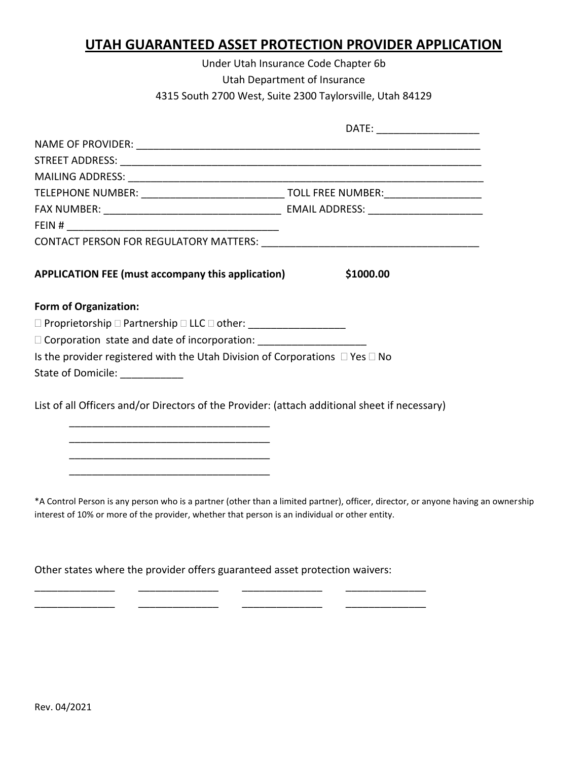## **UTAH GUARANTEED ASSET PROTECTION PROVIDER APPLICATION**

Under Utah Insurance Code Chapter 6b Utah Department of Insurance 4315 South 2700 West, Suite 2300 Taylorsville, Utah 84129

| APPLICATION FEE (must accompany this application)                                              | \$1000.00                                                                                                                         |
|------------------------------------------------------------------------------------------------|-----------------------------------------------------------------------------------------------------------------------------------|
| <b>Form of Organization:</b>                                                                   |                                                                                                                                   |
| □ Proprietorship □ Partnership □ LLC □ other: __________________________________               |                                                                                                                                   |
| □ Corporation state and date of incorporation: _________________________________               |                                                                                                                                   |
| Is the provider registered with the Utah Division of Corporations $\Box$ Yes $\Box$ No         |                                                                                                                                   |
| State of Domicile:                                                                             |                                                                                                                                   |
|                                                                                                |                                                                                                                                   |
| List of all Officers and/or Directors of the Provider: (attach additional sheet if necessary)  |                                                                                                                                   |
| <u> 1980 - Johann Barbara, martxa alemaniar amerikan basar da a</u>                            |                                                                                                                                   |
|                                                                                                |                                                                                                                                   |
|                                                                                                |                                                                                                                                   |
|                                                                                                |                                                                                                                                   |
|                                                                                                |                                                                                                                                   |
|                                                                                                | *A Control Person is any person who is a partner (other than a limited partner), officer, director, or anyone having an ownership |
| interest of 10% or more of the provider, whether that person is an individual or other entity. |                                                                                                                                   |

Other states where the provider offers guaranteed asset protection waivers:

\_\_\_\_\_\_\_\_\_\_\_\_\_\_ \_\_\_\_\_\_\_\_\_\_\_\_\_\_ \_\_\_\_\_\_\_\_\_\_\_\_\_\_ \_\_\_\_\_\_\_\_\_\_\_\_\_\_ \_\_\_\_\_\_\_\_\_\_\_\_\_\_ \_\_\_\_\_\_\_\_\_\_\_\_\_\_ \_\_\_\_\_\_\_\_\_\_\_\_\_\_ \_\_\_\_\_\_\_\_\_\_\_\_\_\_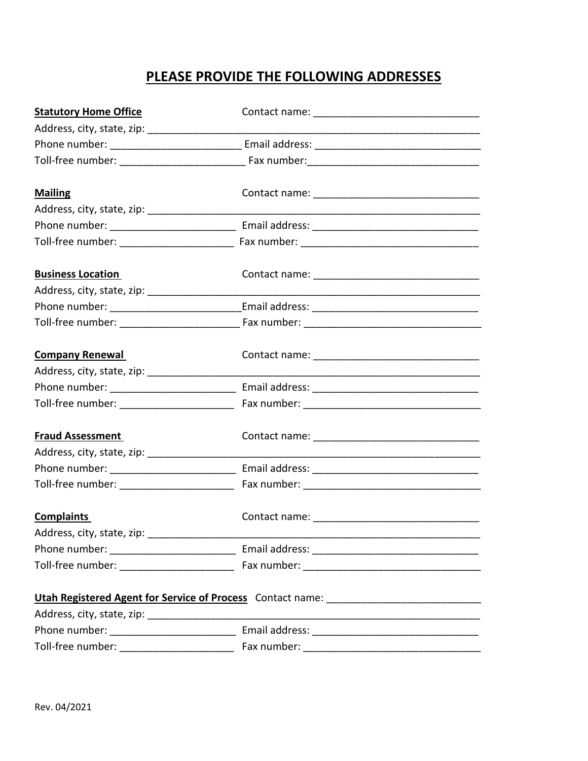# **PLEASE PROVIDE THE FOLLOWING ADDRESSES**

| <b>Statutory Home Office</b>                   |  |
|------------------------------------------------|--|
|                                                |  |
|                                                |  |
|                                                |  |
| <b>Mailing</b>                                 |  |
|                                                |  |
|                                                |  |
|                                                |  |
| <b>Business Location</b>                       |  |
| Address, city, state, zip: ___________________ |  |
|                                                |  |
|                                                |  |
| <b>Company Renewal</b>                         |  |
|                                                |  |
|                                                |  |
| Toll-free number: _______________________      |  |
| <b>Fraud Assessment</b>                        |  |
|                                                |  |
|                                                |  |
| Toll-free number: _______________________      |  |
| <b>Complaints</b>                              |  |
| Address, city, state, zip: ___________________ |  |
|                                                |  |
|                                                |  |
|                                                |  |
|                                                |  |
|                                                |  |
| Toll-free number: ________________________     |  |